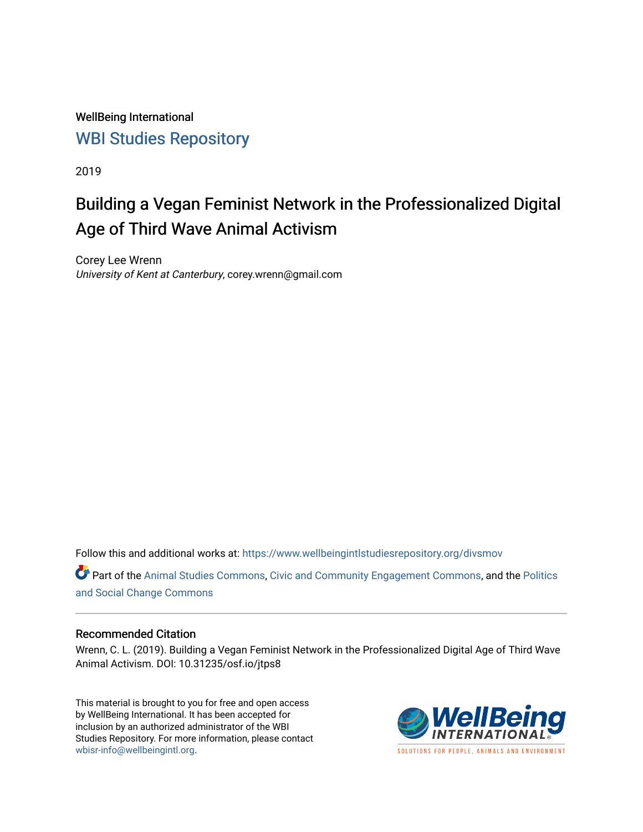WellBeing International [WBI Studies Repository](https://www.wellbeingintlstudiesrepository.org/)

2019

# Building a Vegan Feminist Network in the Professionalized Digital Age of Third Wave Animal Activism

Corey Lee Wrenn University of Kent at Canterbury, corey.wrenn@gmail.com

Follow this and additional works at: [https://www.wellbeingintlstudiesrepository.org/divsmov](https://www.wellbeingintlstudiesrepository.org/divsmov?utm_source=www.wellbeingintlstudiesrepository.org%2Fdivsmov%2F4&utm_medium=PDF&utm_campaign=PDFCoverPages) 

Part of the [Animal Studies Commons,](http://network.bepress.com/hgg/discipline/1306?utm_source=www.wellbeingintlstudiesrepository.org%2Fdivsmov%2F4&utm_medium=PDF&utm_campaign=PDFCoverPages) [Civic and Community Engagement Commons](http://network.bepress.com/hgg/discipline/1028?utm_source=www.wellbeingintlstudiesrepository.org%2Fdivsmov%2F4&utm_medium=PDF&utm_campaign=PDFCoverPages), and the [Politics](http://network.bepress.com/hgg/discipline/425?utm_source=www.wellbeingintlstudiesrepository.org%2Fdivsmov%2F4&utm_medium=PDF&utm_campaign=PDFCoverPages) [and Social Change Commons](http://network.bepress.com/hgg/discipline/425?utm_source=www.wellbeingintlstudiesrepository.org%2Fdivsmov%2F4&utm_medium=PDF&utm_campaign=PDFCoverPages)

#### Recommended Citation

Wrenn, C. L. (2019). Building a Vegan Feminist Network in the Professionalized Digital Age of Third Wave Animal Activism. DOI: 10.31235/osf.io/jtps8

This material is brought to you for free and open access by WellBeing International. It has been accepted for inclusion by an authorized administrator of the WBI Studies Repository. For more information, please contact [wbisr-info@wellbeingintl.org](mailto:wbisr-info@wellbeingintl.org).



**SOLUTIONS FOR PEOPLE. ANIMALS AND ENVIRONMENT**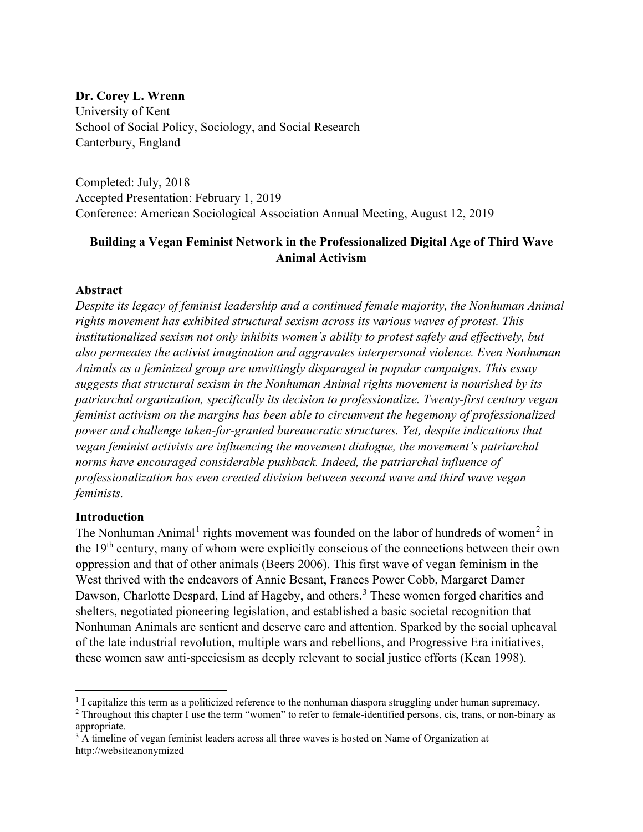#### **Dr. Corey L. Wrenn**

University of Kent School of Social Policy, Sociology, and Social Research Canterbury, England

Completed: July, 2018 Accepted Presentation: February 1, 2019 Conference: American Sociological Association Annual Meeting, August 12, 2019

# **Building a Vegan Feminist Network in the Professionalized Digital Age of Third Wave Animal Activism**

#### **Abstract**

*Despite its legacy of feminist leadership and a continued female majority, the Nonhuman Animal rights movement has exhibited structural sexism across its various waves of protest. This institutionalized sexism not only inhibits women's ability to protest safely and effectively, but also permeates the activist imagination and aggravates interpersonal violence. Even Nonhuman Animals as a feminized group are unwittingly disparaged in popular campaigns. This essay suggests that structural sexism in the Nonhuman Animal rights movement is nourished by its patriarchal organization, specifically its decision to professionalize. Twenty-first century vegan feminist activism on the margins has been able to circumvent the hegemony of professionalized power and challenge taken-for-granted bureaucratic structures. Yet, despite indications that vegan feminist activists are influencing the movement dialogue, the movement's patriarchal norms have encouraged considerable pushback. Indeed, the patriarchal influence of professionalization has even created division between second wave and third wave vegan feminists.* 

# **Introduction**

The Nonhuman Animal<sup>[1](#page-1-0)</sup> rights movement was founded on the labor of hundreds of women<sup>[2](#page-1-1)</sup> in the 19th century, many of whom were explicitly conscious of the connections between their own oppression and that of other animals (Beers 2006). This first wave of vegan feminism in the West thrived with the endeavors of Annie Besant, Frances Power Cobb, Margaret Damer Dawson, Charlotte Despard, Lind af Hageby, and others.<sup>[3](#page-1-2)</sup> These women forged charities and shelters, negotiated pioneering legislation, and established a basic societal recognition that Nonhuman Animals are sentient and deserve care and attention. Sparked by the social upheaval of the late industrial revolution, multiple wars and rebellions, and Progressive Era initiatives, these women saw anti-speciesism as deeply relevant to social justice efforts (Kean 1998).

<span id="page-1-0"></span> $<sup>1</sup>$  I capitalize this term as a politicized reference to the nonhuman diaspora struggling under human supremacy.</sup>

<span id="page-1-1"></span><sup>&</sup>lt;sup>2</sup> Throughout this chapter I use the term "women" to refer to female-identified persons, cis, trans, or non-binary as appropriate.

<span id="page-1-2"></span><sup>&</sup>lt;sup>3</sup> A timeline of vegan feminist leaders across all three waves is hosted on Name of Organization at http://websiteanonymized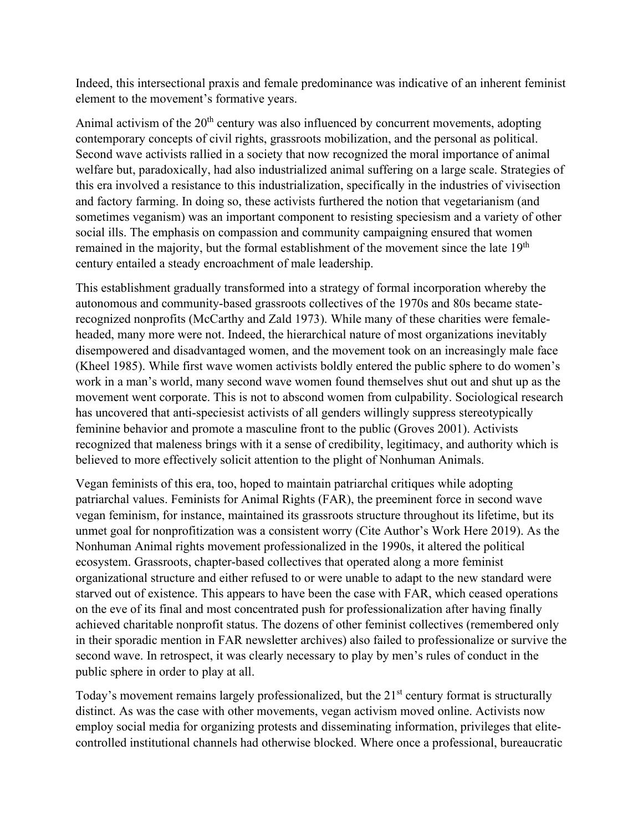Indeed, this intersectional praxis and female predominance was indicative of an inherent feminist element to the movement's formative years.

Animal activism of the  $20<sup>th</sup>$  century was also influenced by concurrent movements, adopting contemporary concepts of civil rights, grassroots mobilization, and the personal as political. Second wave activists rallied in a society that now recognized the moral importance of animal welfare but, paradoxically, had also industrialized animal suffering on a large scale. Strategies of this era involved a resistance to this industrialization, specifically in the industries of vivisection and factory farming. In doing so, these activists furthered the notion that vegetarianism (and sometimes veganism) was an important component to resisting speciesism and a variety of other social ills. The emphasis on compassion and community campaigning ensured that women remained in the majority, but the formal establishment of the movement since the late 19<sup>th</sup> century entailed a steady encroachment of male leadership.

This establishment gradually transformed into a strategy of formal incorporation whereby the autonomous and community-based grassroots collectives of the 1970s and 80s became staterecognized nonprofits (McCarthy and Zald 1973). While many of these charities were femaleheaded, many more were not. Indeed, the hierarchical nature of most organizations inevitably disempowered and disadvantaged women, and the movement took on an increasingly male face (Kheel 1985). While first wave women activists boldly entered the public sphere to do women's work in a man's world, many second wave women found themselves shut out and shut up as the movement went corporate. This is not to abscond women from culpability. Sociological research has uncovered that anti-speciesist activists of all genders willingly suppress stereotypically feminine behavior and promote a masculine front to the public (Groves 2001). Activists recognized that maleness brings with it a sense of credibility, legitimacy, and authority which is believed to more effectively solicit attention to the plight of Nonhuman Animals.

Vegan feminists of this era, too, hoped to maintain patriarchal critiques while adopting patriarchal values. Feminists for Animal Rights (FAR), the preeminent force in second wave vegan feminism, for instance, maintained its grassroots structure throughout its lifetime, but its unmet goal for nonprofitization was a consistent worry (Cite Author's Work Here 2019). As the Nonhuman Animal rights movement professionalized in the 1990s, it altered the political ecosystem. Grassroots, chapter-based collectives that operated along a more feminist organizational structure and either refused to or were unable to adapt to the new standard were starved out of existence. This appears to have been the case with FAR, which ceased operations on the eve of its final and most concentrated push for professionalization after having finally achieved charitable nonprofit status. The dozens of other feminist collectives (remembered only in their sporadic mention in FAR newsletter archives) also failed to professionalize or survive the second wave. In retrospect, it was clearly necessary to play by men's rules of conduct in the public sphere in order to play at all.

Today's movement remains largely professionalized, but the 21<sup>st</sup> century format is structurally distinct. As was the case with other movements, vegan activism moved online. Activists now employ social media for organizing protests and disseminating information, privileges that elitecontrolled institutional channels had otherwise blocked. Where once a professional, bureaucratic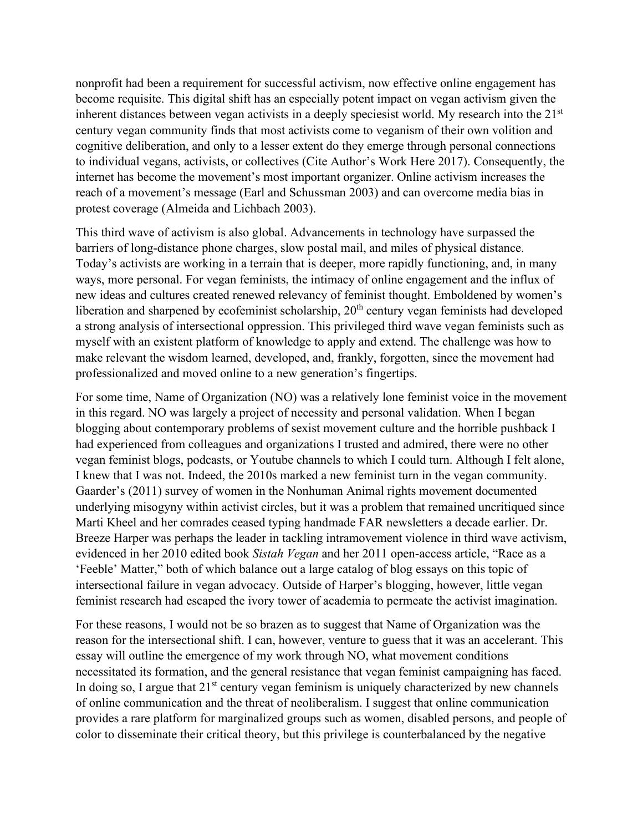nonprofit had been a requirement for successful activism, now effective online engagement has become requisite. This digital shift has an especially potent impact on vegan activism given the inherent distances between vegan activists in a deeply speciesist world. My research into the  $21<sup>st</sup>$ century vegan community finds that most activists come to veganism of their own volition and cognitive deliberation, and only to a lesser extent do they emerge through personal connections to individual vegans, activists, or collectives (Cite Author's Work Here 2017). Consequently, the internet has become the movement's most important organizer. Online activism increases the reach of a movement's message (Earl and Schussman 2003) and can overcome media bias in protest coverage (Almeida and Lichbach 2003).

This third wave of activism is also global. Advancements in technology have surpassed the barriers of long-distance phone charges, slow postal mail, and miles of physical distance. Today's activists are working in a terrain that is deeper, more rapidly functioning, and, in many ways, more personal. For vegan feminists, the intimacy of online engagement and the influx of new ideas and cultures created renewed relevancy of feminist thought. Emboldened by women's liberation and sharpened by ecofeminist scholarship, 20<sup>th</sup> century vegan feminists had developed a strong analysis of intersectional oppression. This privileged third wave vegan feminists such as myself with an existent platform of knowledge to apply and extend. The challenge was how to make relevant the wisdom learned, developed, and, frankly, forgotten, since the movement had professionalized and moved online to a new generation's fingertips.

For some time, Name of Organization (NO) was a relatively lone feminist voice in the movement in this regard. NO was largely a project of necessity and personal validation. When I began blogging about contemporary problems of sexist movement culture and the horrible pushback I had experienced from colleagues and organizations I trusted and admired, there were no other vegan feminist blogs, podcasts, or Youtube channels to which I could turn. Although I felt alone, I knew that I was not. Indeed, the 2010s marked a new feminist turn in the vegan community. Gaarder's (2011) survey of women in the Nonhuman Animal rights movement documented underlying misogyny within activist circles, but it was a problem that remained uncritiqued since Marti Kheel and her comrades ceased typing handmade FAR newsletters a decade earlier. Dr. Breeze Harper was perhaps the leader in tackling intramovement violence in third wave activism, evidenced in her 2010 edited book *Sistah Vegan* and her 2011 open-access article, "Race as a 'Feeble' Matter," both of which balance out a large catalog of blog essays on this topic of intersectional failure in vegan advocacy. Outside of Harper's blogging, however, little vegan feminist research had escaped the ivory tower of academia to permeate the activist imagination.

For these reasons, I would not be so brazen as to suggest that Name of Organization was the reason for the intersectional shift. I can, however, venture to guess that it was an accelerant. This essay will outline the emergence of my work through NO, what movement conditions necessitated its formation, and the general resistance that vegan feminist campaigning has faced. In doing so, I argue that  $21<sup>st</sup>$  century vegan feminism is uniquely characterized by new channels of online communication and the threat of neoliberalism. I suggest that online communication provides a rare platform for marginalized groups such as women, disabled persons, and people of color to disseminate their critical theory, but this privilege is counterbalanced by the negative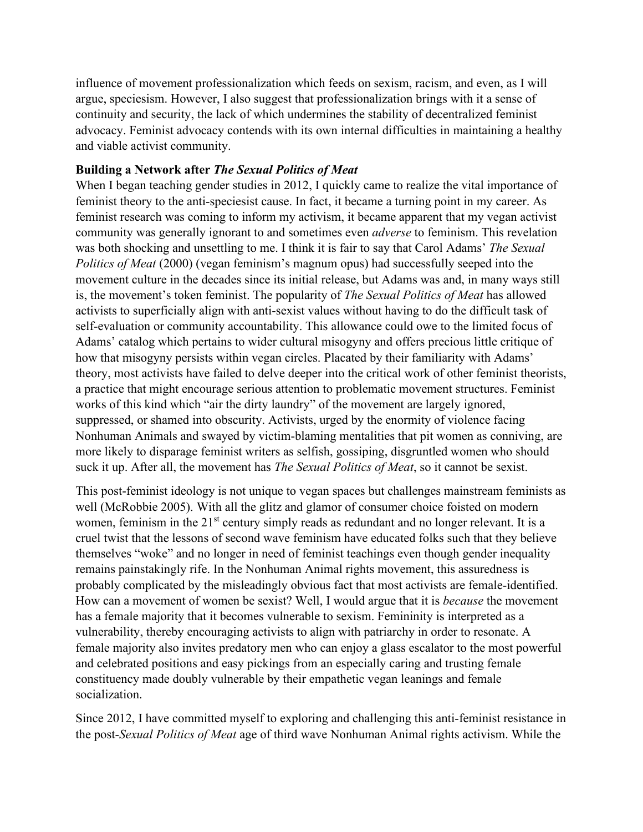influence of movement professionalization which feeds on sexism, racism, and even, as I will argue, speciesism. However, I also suggest that professionalization brings with it a sense of continuity and security, the lack of which undermines the stability of decentralized feminist advocacy. Feminist advocacy contends with its own internal difficulties in maintaining a healthy and viable activist community.

# **Building a Network after** *The Sexual Politics of Meat*

When I began teaching gender studies in 2012, I quickly came to realize the vital importance of feminist theory to the anti-speciesist cause. In fact, it became a turning point in my career. As feminist research was coming to inform my activism, it became apparent that my vegan activist community was generally ignorant to and sometimes even *adverse* to feminism. This revelation was both shocking and unsettling to me. I think it is fair to say that Carol Adams' *The Sexual Politics of Meat* (2000) (vegan feminism's magnum opus) had successfully seeped into the movement culture in the decades since its initial release, but Adams was and, in many ways still is, the movement's token feminist. The popularity of *The Sexual Politics of Meat* has allowed activists to superficially align with anti-sexist values without having to do the difficult task of self-evaluation or community accountability. This allowance could owe to the limited focus of Adams' catalog which pertains to wider cultural misogyny and offers precious little critique of how that misogyny persists within vegan circles. Placated by their familiarity with Adams' theory, most activists have failed to delve deeper into the critical work of other feminist theorists, a practice that might encourage serious attention to problematic movement structures. Feminist works of this kind which "air the dirty laundry" of the movement are largely ignored, suppressed, or shamed into obscurity. Activists, urged by the enormity of violence facing Nonhuman Animals and swayed by victim-blaming mentalities that pit women as conniving, are more likely to disparage feminist writers as selfish, gossiping, disgruntled women who should suck it up. After all, the movement has *The Sexual Politics of Meat*, so it cannot be sexist.

This post-feminist ideology is not unique to vegan spaces but challenges mainstream feminists as well (McRobbie 2005). With all the glitz and glamor of consumer choice foisted on modern women, feminism in the 21<sup>st</sup> century simply reads as redundant and no longer relevant. It is a cruel twist that the lessons of second wave feminism have educated folks such that they believe themselves "woke" and no longer in need of feminist teachings even though gender inequality remains painstakingly rife. In the Nonhuman Animal rights movement, this assuredness is probably complicated by the misleadingly obvious fact that most activists are female-identified. How can a movement of women be sexist? Well, I would argue that it is *because* the movement has a female majority that it becomes vulnerable to sexism. Femininity is interpreted as a vulnerability, thereby encouraging activists to align with patriarchy in order to resonate. A female majority also invites predatory men who can enjoy a glass escalator to the most powerful and celebrated positions and easy pickings from an especially caring and trusting female constituency made doubly vulnerable by their empathetic vegan leanings and female socialization.

Since 2012, I have committed myself to exploring and challenging this anti-feminist resistance in the post-*Sexual Politics of Meat* age of third wave Nonhuman Animal rights activism. While the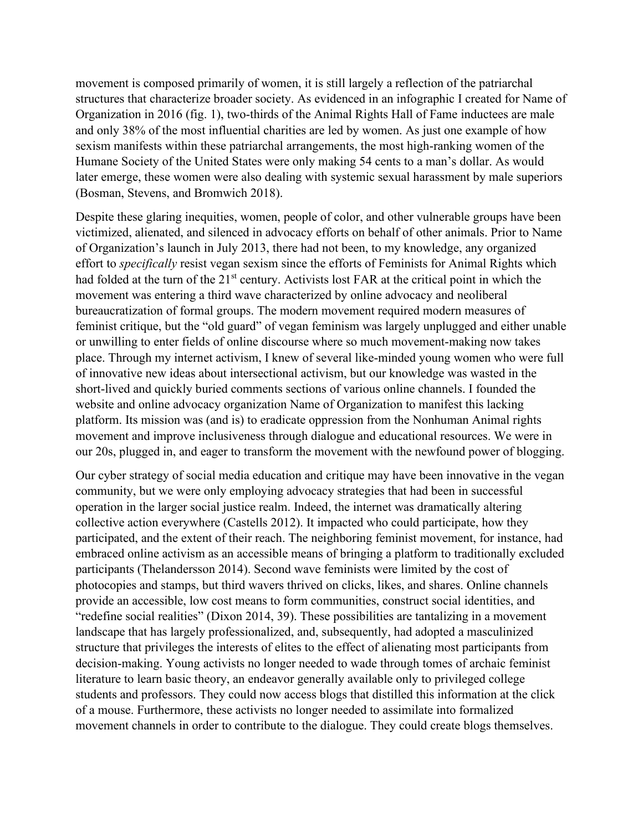movement is composed primarily of women, it is still largely a reflection of the patriarchal structures that characterize broader society. As evidenced in an infographic I created for Name of Organization in 2016 (fig. 1), two-thirds of the Animal Rights Hall of Fame inductees are male and only 38% of the most influential charities are led by women. As just one example of how sexism manifests within these patriarchal arrangements, the most high-ranking women of the Humane Society of the United States were only making 54 cents to a man's dollar. As would later emerge, these women were also dealing with systemic sexual harassment by male superiors (Bosman, Stevens, and Bromwich 2018).

Despite these glaring inequities, women, people of color, and other vulnerable groups have been victimized, alienated, and silenced in advocacy efforts on behalf of other animals. Prior to Name of Organization's launch in July 2013, there had not been, to my knowledge, any organized effort to *specifically* resist vegan sexism since the efforts of Feminists for Animal Rights which had folded at the turn of the 21<sup>st</sup> century. Activists lost FAR at the critical point in which the movement was entering a third wave characterized by online advocacy and neoliberal bureaucratization of formal groups. The modern movement required modern measures of feminist critique, but the "old guard" of vegan feminism was largely unplugged and either unable or unwilling to enter fields of online discourse where so much movement-making now takes place. Through my internet activism, I knew of several like-minded young women who were full of innovative new ideas about intersectional activism, but our knowledge was wasted in the short-lived and quickly buried comments sections of various online channels. I founded the website and online advocacy organization Name of Organization to manifest this lacking platform. Its mission was (and is) to eradicate oppression from the Nonhuman Animal rights movement and improve inclusiveness through dialogue and educational resources. We were in our 20s, plugged in, and eager to transform the movement with the newfound power of blogging.

Our cyber strategy of social media education and critique may have been innovative in the vegan community, but we were only employing advocacy strategies that had been in successful operation in the larger social justice realm. Indeed, the internet was dramatically altering collective action everywhere (Castells 2012). It impacted who could participate, how they participated, and the extent of their reach. The neighboring feminist movement, for instance, had embraced online activism as an accessible means of bringing a platform to traditionally excluded participants (Thelandersson 2014). Second wave feminists were limited by the cost of photocopies and stamps, but third wavers thrived on clicks, likes, and shares. Online channels provide an accessible, low cost means to form communities, construct social identities, and "redefine social realities" (Dixon 2014, 39). These possibilities are tantalizing in a movement landscape that has largely professionalized, and, subsequently, had adopted a masculinized structure that privileges the interests of elites to the effect of alienating most participants from decision-making. Young activists no longer needed to wade through tomes of archaic feminist literature to learn basic theory, an endeavor generally available only to privileged college students and professors. They could now access blogs that distilled this information at the click of a mouse. Furthermore, these activists no longer needed to assimilate into formalized movement channels in order to contribute to the dialogue. They could create blogs themselves.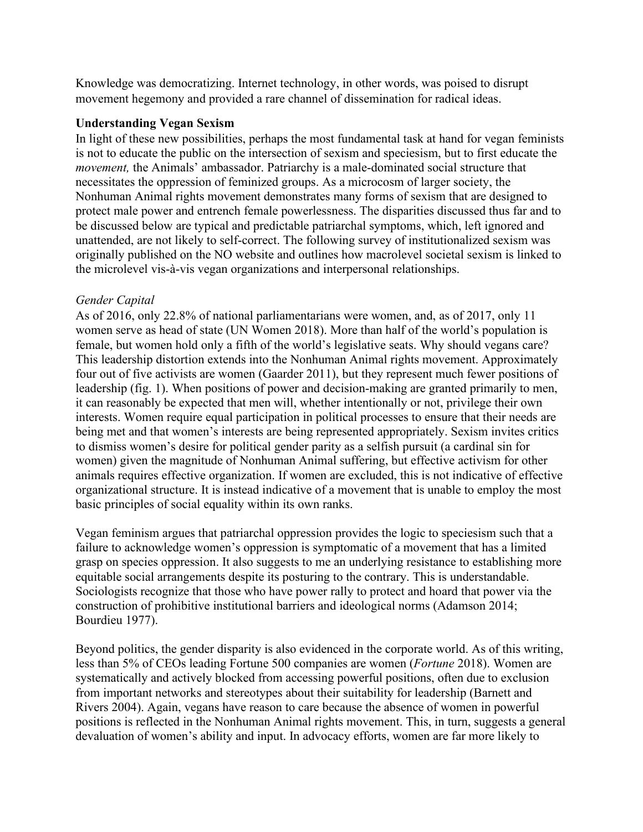Knowledge was democratizing. Internet technology, in other words, was poised to disrupt movement hegemony and provided a rare channel of dissemination for radical ideas.

## **Understanding Vegan Sexism**

In light of these new possibilities, perhaps the most fundamental task at hand for vegan feminists is not to educate the public on the intersection of sexism and speciesism, but to first educate the *movement,* the Animals' ambassador. Patriarchy is a male-dominated social structure that necessitates the oppression of feminized groups. As a microcosm of larger society, the Nonhuman Animal rights movement demonstrates many forms of sexism that are designed to protect male power and entrench female powerlessness. The disparities discussed thus far and to be discussed below are typical and predictable patriarchal symptoms, which, left ignored and unattended, are not likely to self-correct. The following survey of institutionalized sexism was originally published on the NO website and outlines how macrolevel societal sexism is linked to the microlevel vis-à-vis vegan organizations and interpersonal relationships.

## *Gender Capital*

As of 2016, only 22.8% of national parliamentarians were women, and, as of 2017, only 11 women serve as head of state (UN Women 2018). More than half of the world's population is female, but women hold only a fifth of the world's legislative seats. Why should vegans care? This leadership distortion extends into the Nonhuman Animal rights movement. Approximately four out of five activists are women (Gaarder 2011), but they represent much fewer positions of leadership (fig. 1). When positions of power and decision-making are granted primarily to men, it can reasonably be expected that men will, whether intentionally or not, privilege their own interests. Women require equal participation in political processes to ensure that their needs are being met and that women's interests are being represented appropriately. Sexism invites critics to dismiss women's desire for political gender parity as a selfish pursuit (a cardinal sin for women) given the magnitude of Nonhuman Animal suffering, but effective activism for other animals requires effective organization. If women are excluded, this is not indicative of effective organizational structure. It is instead indicative of a movement that is unable to employ the most basic principles of social equality within its own ranks.

Vegan feminism argues that patriarchal oppression provides the logic to speciesism such that a failure to acknowledge women's oppression is symptomatic of a movement that has a limited grasp on species oppression. It also suggests to me an underlying resistance to establishing more equitable social arrangements despite its posturing to the contrary. This is understandable. Sociologists recognize that those who have power rally to protect and hoard that power via the construction of prohibitive institutional barriers and ideological norms (Adamson 2014; Bourdieu 1977).

Beyond politics, the gender disparity is also evidenced in the corporate world. As of this writing, less than 5% of CEOs leading Fortune 500 companies are women (*Fortune* 2018). Women are systematically and actively blocked from accessing powerful positions, often due to exclusion from important networks and stereotypes about their suitability for leadership (Barnett and Rivers 2004). Again, vegans have reason to care because the absence of women in powerful positions is reflected in the Nonhuman Animal rights movement. This, in turn, suggests a general devaluation of women's ability and input. In advocacy efforts, women are far more likely to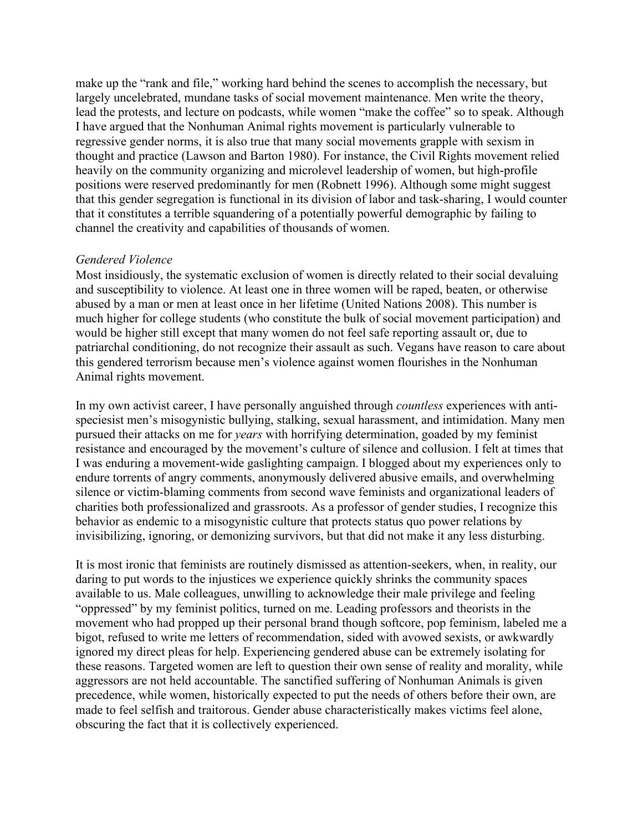make up the "rank and file," working hard behind the scenes to accomplish the necessary, but largely uncelebrated, mundane tasks of social movement maintenance. Men write the theory, lead the protests, and lecture on podcasts, while women "make the coffee" so to speak. Although I have argued that the Nonhuman Animal rights movement is particularly vulnerable to regressive gender norms, it is also true that many social movements grapple with sexism in thought and practice (Lawson and Barton 1980). For instance, the Civil Rights movement relied heavily on the community organizing and microlevel leadership of women, but high-profile positions were reserved predominantly for men (Robnett 1996). Although some might suggest that this gender segregation is functional in its division of labor and task-sharing, I would counter that it constitutes a terrible squandering of a potentially powerful demographic by failing to channel the creativity and capabilities of thousands of women.

#### *Gendered Violence*

Most insidiously, the systematic exclusion of women is directly related to their social devaluing and susceptibility to violence. At least one in three women will be raped, beaten, or otherwise abused by a man or men at least once in her lifetime (United Nations 2008). This number is much higher for college students (who constitute the bulk of social movement participation) and would be higher still except that many women do not feel safe reporting assault or, due to patriarchal conditioning, do not recognize their assault as such. Vegans have reason to care about this gendered terrorism because men's violence against women flourishes in the Nonhuman Animal rights movement.

In my own activist career, I have personally anguished through *countless* experiences with antispeciesist men's misogynistic bullying, stalking, sexual harassment, and intimidation. Many men pursued their attacks on me for *years* with horrifying determination, goaded by my feminist resistance and encouraged by the movement's culture of silence and collusion. I felt at times that I was enduring a movement-wide gaslighting campaign. I blogged about my experiences only to endure torrents of angry comments, anonymously delivered abusive emails, and overwhelming silence or victim-blaming comments from second wave feminists and organizational leaders of charities both professionalized and grassroots. As a professor of gender studies, I recognize this behavior as endemic to a misogynistic culture that protects status quo power relations by invisibilizing, ignoring, or demonizing survivors, but that did not make it any less disturbing.

It is most ironic that feminists are routinely dismissed as attention-seekers, when, in reality, our daring to put words to the injustices we experience quickly shrinks the community spaces available to us. Male colleagues, unwilling to acknowledge their male privilege and feeling "oppressed" by my feminist politics, turned on me. Leading professors and theorists in the movement who had propped up their personal brand though softcore, pop feminism, labeled me a bigot, refused to write me letters of recommendation, sided with avowed sexists, or awkwardly ignored my direct pleas for help. Experiencing gendered abuse can be extremely isolating for these reasons. Targeted women are left to question their own sense of reality and morality, while aggressors are not held accountable. The sanctified suffering of Nonhuman Animals is given precedence, while women, historically expected to put the needs of others before their own, are made to feel selfish and traitorous. Gender abuse characteristically makes victims feel alone, obscuring the fact that it is collectively experienced.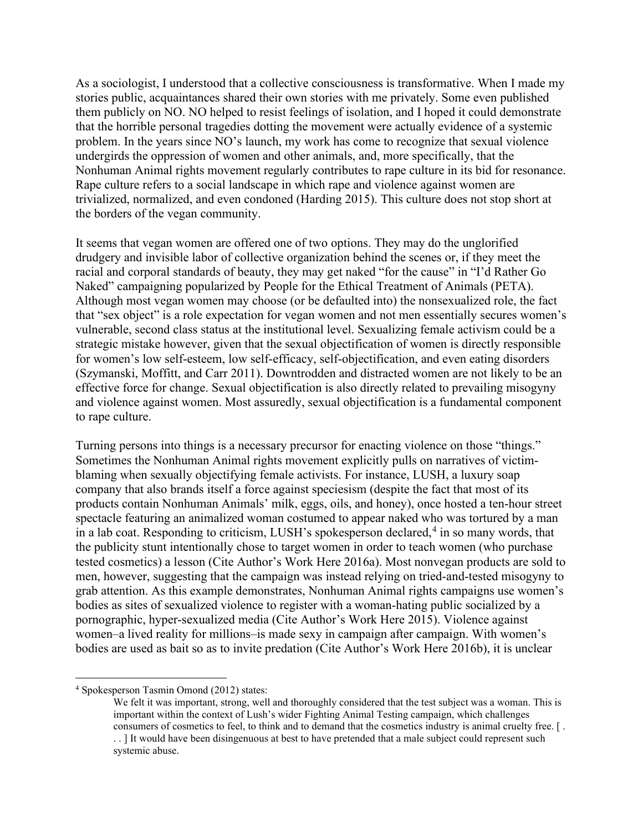As a sociologist, I understood that a collective consciousness is transformative. When I made my stories public, acquaintances shared their own stories with me privately. Some even published them publicly on NO. NO helped to resist feelings of isolation, and I hoped it could demonstrate that the horrible personal tragedies dotting the movement were actually evidence of a systemic problem. In the years since NO's launch, my work has come to recognize that sexual violence undergirds the oppression of women and other animals, and, more specifically, that the Nonhuman Animal rights movement regularly contributes to rape culture in its bid for resonance. Rape culture refers to a social landscape in which rape and violence against women are trivialized, normalized, and even condoned (Harding 2015). This culture does not stop short at the borders of the vegan community.

It seems that vegan women are offered one of two options. They may do the unglorified drudgery and invisible labor of collective organization behind the scenes or, if they meet the racial and corporal standards of beauty, they may get naked "for the cause" in "I'd Rather Go Naked" campaigning popularized by People for the Ethical Treatment of Animals (PETA). Although most vegan women may choose (or be defaulted into) the nonsexualized role, the fact that "sex object" is a role expectation for vegan women and not men essentially secures women's vulnerable, second class status at the institutional level. Sexualizing female activism could be a strategic mistake however, given that the sexual objectification of women is directly responsible for women's low self-esteem, low self-efficacy, self-objectification, and even eating disorders (Szymanski, Moffitt, and Carr 2011). Downtrodden and distracted women are not likely to be an effective force for change. Sexual objectification is also directly related to prevailing misogyny and violence against women. Most assuredly, sexual objectification is a fundamental component to rape culture.

Turning persons into things is a necessary precursor for enacting violence on those "things." Sometimes the Nonhuman Animal rights movement explicitly pulls on narratives of victimblaming when sexually objectifying female activists. For instance, LUSH, a luxury soap company that also brands itself a force against speciesism (despite the fact that most of its products contain Nonhuman Animals' milk, eggs, oils, and honey), once hosted a ten-hour street spectacle featuring an animalized woman costumed to appear naked who was tortured by a man in a lab coat. Responding to criticism, LUSH's spokesperson declared, [4](#page-8-0) in so many words, that the publicity stunt intentionally chose to target women in order to teach women (who purchase tested cosmetics) a lesson (Cite Author's Work Here 2016a). Most nonvegan products are sold to men, however, suggesting that the campaign was instead relying on tried-and-tested misogyny to grab attention. As this example demonstrates, Nonhuman Animal rights campaigns use women's bodies as sites of sexualized violence to register with a woman-hating public socialized by a pornographic, hyper-sexualized media (Cite Author's Work Here 2015). Violence against women–a lived reality for millions–is made sexy in campaign after campaign. With women's bodies are used as bait so as to invite predation (Cite Author's Work Here 2016b), it is unclear

<span id="page-8-0"></span><sup>4</sup> Spokesperson Tasmin Omond (2012) states:

We felt it was important, strong, well and thoroughly considered that the test subject was a woman. This is important within the context of Lush's wider Fighting Animal Testing campaign, which challenges consumers of cosmetics to feel, to think and to demand that the cosmetics industry is animal cruelty free. [ . . . ] It would have been disingenuous at best to have pretended that a male subject could represent such systemic abuse.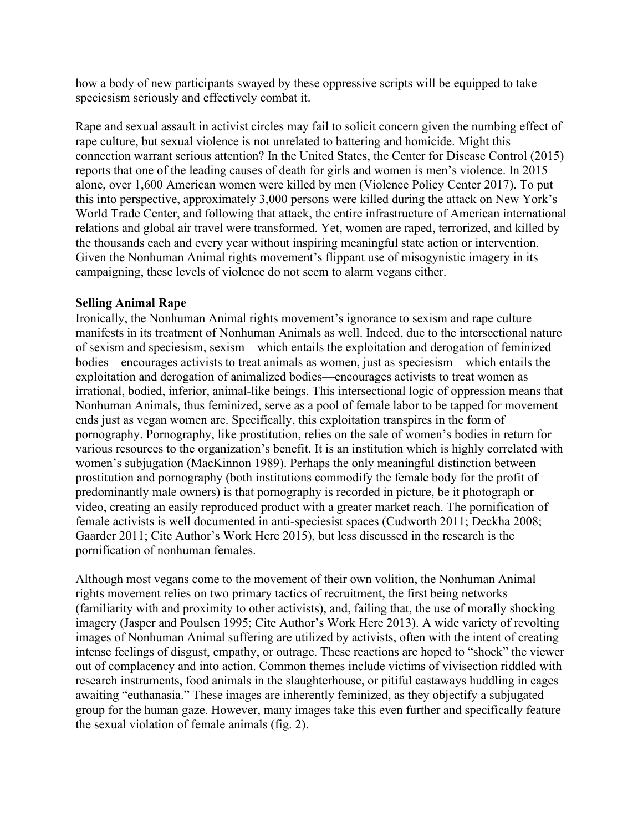how a body of new participants swayed by these oppressive scripts will be equipped to take speciesism seriously and effectively combat it.

Rape and sexual assault in activist circles may fail to solicit concern given the numbing effect of rape culture, but sexual violence is not unrelated to battering and homicide. Might this connection warrant serious attention? In the United States, the Center for Disease Control (2015) reports that one of the leading causes of death for girls and women is men's violence. In 2015 alone, over 1,600 American women were killed by men (Violence Policy Center 2017). To put this into perspective, approximately 3,000 persons were killed during the attack on New York's World Trade Center, and following that attack, the entire infrastructure of American international relations and global air travel were transformed. Yet, women are raped, terrorized, and killed by the thousands each and every year without inspiring meaningful state action or intervention. Given the Nonhuman Animal rights movement's flippant use of misogynistic imagery in its campaigning, these levels of violence do not seem to alarm vegans either.

## **Selling Animal Rape**

Ironically, the Nonhuman Animal rights movement's ignorance to sexism and rape culture manifests in its treatment of Nonhuman Animals as well. Indeed, due to the intersectional nature of sexism and speciesism, sexism—which entails the exploitation and derogation of feminized bodies—encourages activists to treat animals as women, just as speciesism—which entails the exploitation and derogation of animalized bodies—encourages activists to treat women as irrational, bodied, inferior, animal-like beings. This intersectional logic of oppression means that Nonhuman Animals, thus feminized, serve as a pool of female labor to be tapped for movement ends just as vegan women are. Specifically, this exploitation transpires in the form of pornography. Pornography, like prostitution, relies on the sale of women's bodies in return for various resources to the organization's benefit. It is an institution which is highly correlated with women's subjugation (MacKinnon 1989). Perhaps the only meaningful distinction between prostitution and pornography (both institutions commodify the female body for the profit of predominantly male owners) is that pornography is recorded in picture, be it photograph or video, creating an easily reproduced product with a greater market reach. The pornification of female activists is well documented in anti-speciesist spaces (Cudworth 2011; Deckha 2008; Gaarder 2011; Cite Author's Work Here 2015), but less discussed in the research is the pornification of nonhuman females.

Although most vegans come to the movement of their own volition, the Nonhuman Animal rights movement relies on two primary tactics of recruitment, the first being networks (familiarity with and proximity to other activists), and, failing that, the use of morally shocking imagery (Jasper and Poulsen 1995; Cite Author's Work Here 2013). A wide variety of revolting images of Nonhuman Animal suffering are utilized by activists, often with the intent of creating intense feelings of disgust, empathy, or outrage. These reactions are hoped to "shock" the viewer out of complacency and into action. Common themes include victims of vivisection riddled with research instruments, food animals in the slaughterhouse, or pitiful castaways huddling in cages awaiting "euthanasia." These images are inherently feminized, as they objectify a subjugated group for the human gaze. However, many images take this even further and specifically feature the sexual violation of female animals (fig. 2).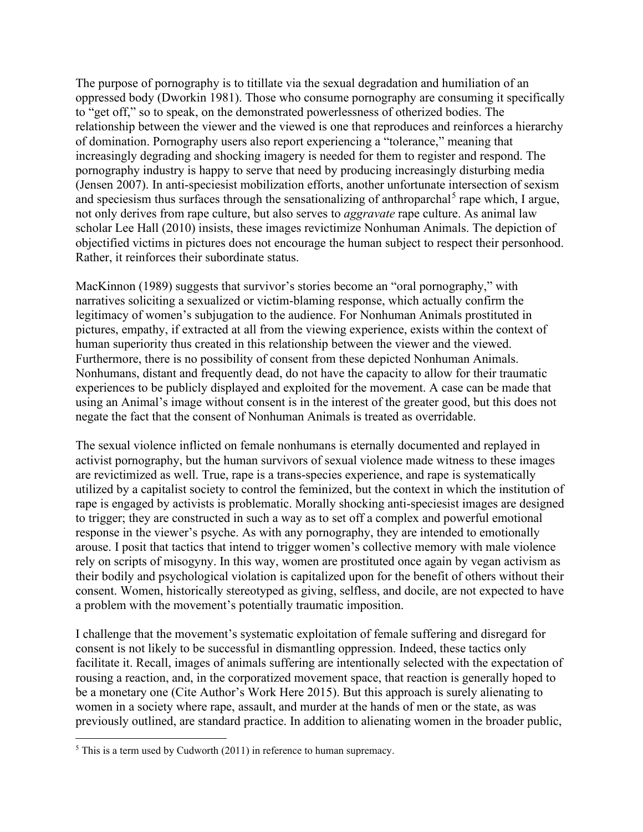The purpose of pornography is to titillate via the sexual degradation and humiliation of an oppressed body (Dworkin 1981). Those who consume pornography are consuming it specifically to "get off," so to speak, on the demonstrated powerlessness of otherized bodies. The relationship between the viewer and the viewed is one that reproduces and reinforces a hierarchy of domination. Pornography users also report experiencing a "tolerance," meaning that increasingly degrading and shocking imagery is needed for them to register and respond. The pornography industry is happy to serve that need by producing increasingly disturbing media (Jensen 2007). In anti-speciesist mobilization efforts, another unfortunate intersection of sexism and speciesism thus surfaces through the sensationalizing of anthroparchal<sup>[5](#page-10-0)</sup> rape which, I argue, not only derives from rape culture, but also serves to *aggravate* rape culture. As animal law scholar Lee Hall (2010) insists, these images revictimize Nonhuman Animals. The depiction of objectified victims in pictures does not encourage the human subject to respect their personhood. Rather, it reinforces their subordinate status.

MacKinnon (1989) suggests that survivor's stories become an "oral pornography," with narratives soliciting a sexualized or victim-blaming response, which actually confirm the legitimacy of women's subjugation to the audience. For Nonhuman Animals prostituted in pictures, empathy, if extracted at all from the viewing experience, exists within the context of human superiority thus created in this relationship between the viewer and the viewed. Furthermore, there is no possibility of consent from these depicted Nonhuman Animals. Nonhumans, distant and frequently dead, do not have the capacity to allow for their traumatic experiences to be publicly displayed and exploited for the movement. A case can be made that using an Animal's image without consent is in the interest of the greater good, but this does not negate the fact that the consent of Nonhuman Animals is treated as overridable.

The sexual violence inflicted on female nonhumans is eternally documented and replayed in activist pornography, but the human survivors of sexual violence made witness to these images are revictimized as well. True, rape is a trans-species experience, and rape is systematically utilized by a capitalist society to control the feminized, but the context in which the institution of rape is engaged by activists is problematic. Morally shocking anti-speciesist images are designed to trigger; they are constructed in such a way as to set off a complex and powerful emotional response in the viewer's psyche. As with any pornography, they are intended to emotionally arouse. I posit that tactics that intend to trigger women's collective memory with male violence rely on scripts of misogyny. In this way, women are prostituted once again by vegan activism as their bodily and psychological violation is capitalized upon for the benefit of others without their consent. Women, historically stereotyped as giving, selfless, and docile, are not expected to have a problem with the movement's potentially traumatic imposition.

I challenge that the movement's systematic exploitation of female suffering and disregard for consent is not likely to be successful in dismantling oppression. Indeed, these tactics only facilitate it. Recall, images of animals suffering are intentionally selected with the expectation of rousing a reaction, and, in the corporatized movement space, that reaction is generally hoped to be a monetary one (Cite Author's Work Here 2015). But this approach is surely alienating to women in a society where rape, assault, and murder at the hands of men or the state, as was previously outlined, are standard practice. In addition to alienating women in the broader public,

<span id="page-10-0"></span> $5$  This is a term used by Cudworth (2011) in reference to human supremacy.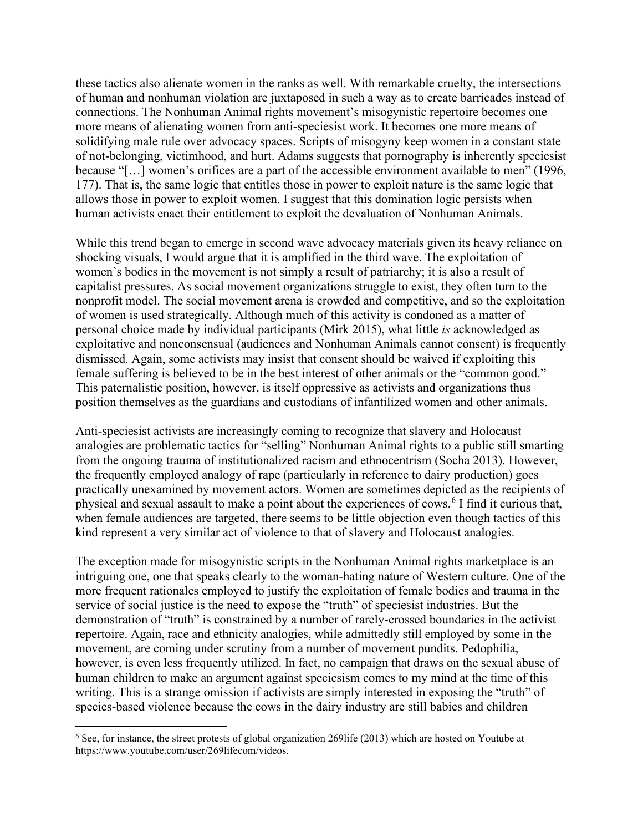these tactics also alienate women in the ranks as well. With remarkable cruelty, the intersections of human and nonhuman violation are juxtaposed in such a way as to create barricades instead of connections. The Nonhuman Animal rights movement's misogynistic repertoire becomes one more means of alienating women from anti-speciesist work. It becomes one more means of solidifying male rule over advocacy spaces. Scripts of misogyny keep women in a constant state of not-belonging, victimhood, and hurt. Adams suggests that pornography is inherently speciesist because "[…] women's orifices are a part of the accessible environment available to men" (1996, 177). That is, the same logic that entitles those in power to exploit nature is the same logic that allows those in power to exploit women. I suggest that this domination logic persists when human activists enact their entitlement to exploit the devaluation of Nonhuman Animals.

While this trend began to emerge in second wave advocacy materials given its heavy reliance on shocking visuals, I would argue that it is amplified in the third wave. The exploitation of women's bodies in the movement is not simply a result of patriarchy; it is also a result of capitalist pressures. As social movement organizations struggle to exist, they often turn to the nonprofit model. The social movement arena is crowded and competitive, and so the exploitation of women is used strategically. Although much of this activity is condoned as a matter of personal choice made by individual participants (Mirk 2015), what little *is* acknowledged as exploitative and nonconsensual (audiences and Nonhuman Animals cannot consent) is frequently dismissed. Again, some activists may insist that consent should be waived if exploiting this female suffering is believed to be in the best interest of other animals or the "common good." This paternalistic position, however, is itself oppressive as activists and organizations thus position themselves as the guardians and custodians of infantilized women and other animals.

Anti-speciesist activists are increasingly coming to recognize that slavery and Holocaust analogies are problematic tactics for "selling" Nonhuman Animal rights to a public still smarting from the ongoing trauma of institutionalized racism and ethnocentrism (Socha 2013). However, the frequently employed analogy of rape (particularly in reference to dairy production) goes practically unexamined by movement actors. Women are sometimes depicted as the recipients of physical and sexual assault to make a point about the experiences of cows. [6](#page-11-0) I find it curious that, when female audiences are targeted, there seems to be little objection even though tactics of this kind represent a very similar act of violence to that of slavery and Holocaust analogies.

The exception made for misogynistic scripts in the Nonhuman Animal rights marketplace is an intriguing one, one that speaks clearly to the woman-hating nature of Western culture. One of the more frequent rationales employed to justify the exploitation of female bodies and trauma in the service of social justice is the need to expose the "truth" of speciesist industries. But the demonstration of "truth" is constrained by a number of rarely-crossed boundaries in the activist repertoire. Again, race and ethnicity analogies, while admittedly still employed by some in the movement, are coming under scrutiny from a number of movement pundits. Pedophilia, however, is even less frequently utilized. In fact, no campaign that draws on the sexual abuse of human children to make an argument against speciesism comes to my mind at the time of this writing. This is a strange omission if activists are simply interested in exposing the "truth" of species-based violence because the cows in the dairy industry are still babies and children

<span id="page-11-0"></span><sup>&</sup>lt;sup>6</sup> See, for instance, the street protests of global organization 269life (2013) which are hosted on Youtube at https://www.youtube.com/user/269lifecom/videos.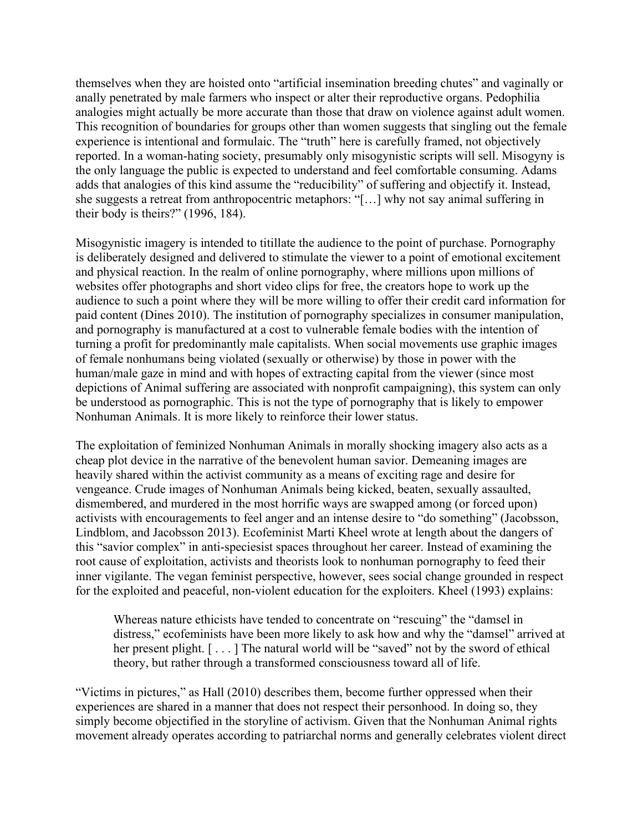themselves when they are hoisted onto "artificial insemination breeding chutes" and vaginally or anally penetrated by male farmers who inspect or alter their reproductive organs. Pedophilia analogies might actually be more accurate than those that draw on violence against adult women. This recognition of boundaries for groups other than women suggests that singling out the female experience is intentional and formulaic. The "truth" here is carefully framed, not objectively reported. In a woman-hating society, presumably only misogynistic scripts will sell. Misogyny is the only language the public is expected to understand and feel comfortable consuming. Adams adds that analogies of this kind assume the "reducibility" of suffering and objectify it. Instead, she suggests a retreat from anthropocentric metaphors: "[…] why not say animal suffering in their body is theirs?" (1996, 184).

Misogynistic imagery is intended to titillate the audience to the point of purchase. Pornography is deliberately designed and delivered to stimulate the viewer to a point of emotional excitement and physical reaction. In the realm of online pornography, where millions upon millions of websites offer photographs and short video clips for free, the creators hope to work up the audience to such a point where they will be more willing to offer their credit card information for paid content (Dines 2010). The institution of pornography specializes in consumer manipulation, and pornography is manufactured at a cost to vulnerable female bodies with the intention of turning a profit for predominantly male capitalists. When social movements use graphic images of female nonhumans being violated (sexually or otherwise) by those in power with the human/male gaze in mind and with hopes of extracting capital from the viewer (since most depictions of Animal suffering are associated with nonprofit campaigning), this system can only be understood as pornographic. This is not the type of pornography that is likely to empower Nonhuman Animals. It is more likely to reinforce their lower status.

The exploitation of feminized Nonhuman Animals in morally shocking imagery also acts as a cheap plot device in the narrative of the benevolent human savior. Demeaning images are heavily shared within the activist community as a means of exciting rage and desire for vengeance. Crude images of Nonhuman Animals being kicked, beaten, sexually assaulted, dismembered, and murdered in the most horrific ways are swapped among (or forced upon) activists with encouragements to feel anger and an intense desire to "do something" (Jacobsson, Lindblom, and Jacobsson 2013). Ecofeminist Marti Kheel wrote at length about the dangers of this "savior complex" in anti-speciesist spaces throughout her career. Instead of examining the root cause of exploitation, activists and theorists look to nonhuman pornography to feed their inner vigilante. The vegan feminist perspective, however, sees social change grounded in respect for the exploited and peaceful, non-violent education for the exploiters. Kheel (1993) explains:

Whereas nature ethicists have tended to concentrate on "rescuing" the "damsel in distress," ecofeminists have been more likely to ask how and why the "damsel" arrived at her present plight. [...] The natural world will be "saved" not by the sword of ethical theory, but rather through a transformed consciousness toward all of life.

"Victims in pictures," as Hall (2010) describes them, become further oppressed when their experiences are shared in a manner that does not respect their personhood. In doing so, they simply become objectified in the storyline of activism. Given that the Nonhuman Animal rights movement already operates according to patriarchal norms and generally celebrates violent direct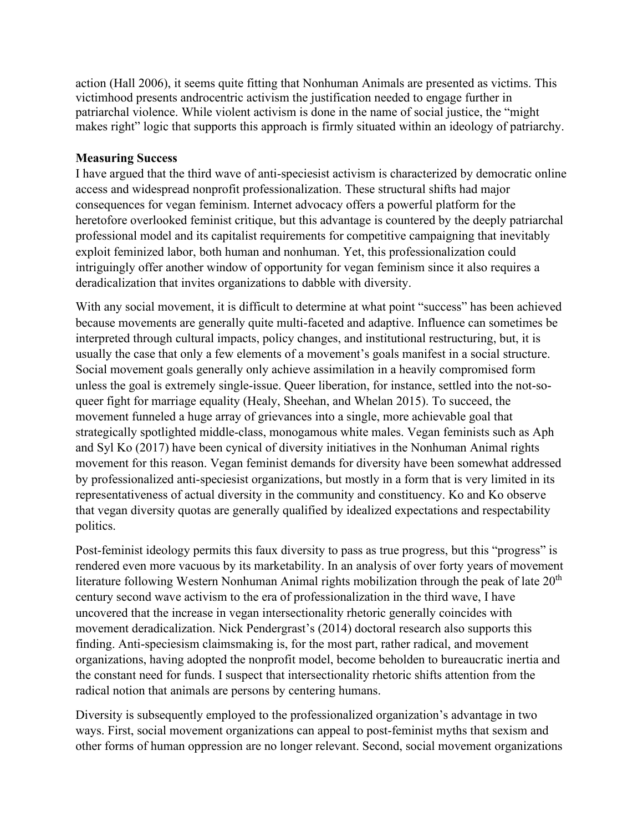action (Hall 2006), it seems quite fitting that Nonhuman Animals are presented as victims. This victimhood presents androcentric activism the justification needed to engage further in patriarchal violence. While violent activism is done in the name of social justice, the "might makes right" logic that supports this approach is firmly situated within an ideology of patriarchy.

## **Measuring Success**

I have argued that the third wave of anti-speciesist activism is characterized by democratic online access and widespread nonprofit professionalization. These structural shifts had major consequences for vegan feminism. Internet advocacy offers a powerful platform for the heretofore overlooked feminist critique, but this advantage is countered by the deeply patriarchal professional model and its capitalist requirements for competitive campaigning that inevitably exploit feminized labor, both human and nonhuman. Yet, this professionalization could intriguingly offer another window of opportunity for vegan feminism since it also requires a deradicalization that invites organizations to dabble with diversity.

With any social movement, it is difficult to determine at what point "success" has been achieved because movements are generally quite multi-faceted and adaptive. Influence can sometimes be interpreted through cultural impacts, policy changes, and institutional restructuring, but, it is usually the case that only a few elements of a movement's goals manifest in a social structure. Social movement goals generally only achieve assimilation in a heavily compromised form unless the goal is extremely single-issue. Queer liberation, for instance, settled into the not-soqueer fight for marriage equality (Healy, Sheehan, and Whelan 2015). To succeed, the movement funneled a huge array of grievances into a single, more achievable goal that strategically spotlighted middle-class, monogamous white males. Vegan feminists such as Aph and Syl Ko (2017) have been cynical of diversity initiatives in the Nonhuman Animal rights movement for this reason. Vegan feminist demands for diversity have been somewhat addressed by professionalized anti-speciesist organizations, but mostly in a form that is very limited in its representativeness of actual diversity in the community and constituency. Ko and Ko observe that vegan diversity quotas are generally qualified by idealized expectations and respectability politics.

Post-feminist ideology permits this faux diversity to pass as true progress, but this "progress" is rendered even more vacuous by its marketability. In an analysis of over forty years of movement literature following Western Nonhuman Animal rights mobilization through the peak of late  $20<sup>th</sup>$ century second wave activism to the era of professionalization in the third wave, I have uncovered that the increase in vegan intersectionality rhetoric generally coincides with movement deradicalization. Nick Pendergrast's (2014) doctoral research also supports this finding. Anti-speciesism claimsmaking is, for the most part, rather radical, and movement organizations, having adopted the nonprofit model, become beholden to bureaucratic inertia and the constant need for funds. I suspect that intersectionality rhetoric shifts attention from the radical notion that animals are persons by centering humans.

Diversity is subsequently employed to the professionalized organization's advantage in two ways. First, social movement organizations can appeal to post-feminist myths that sexism and other forms of human oppression are no longer relevant. Second, social movement organizations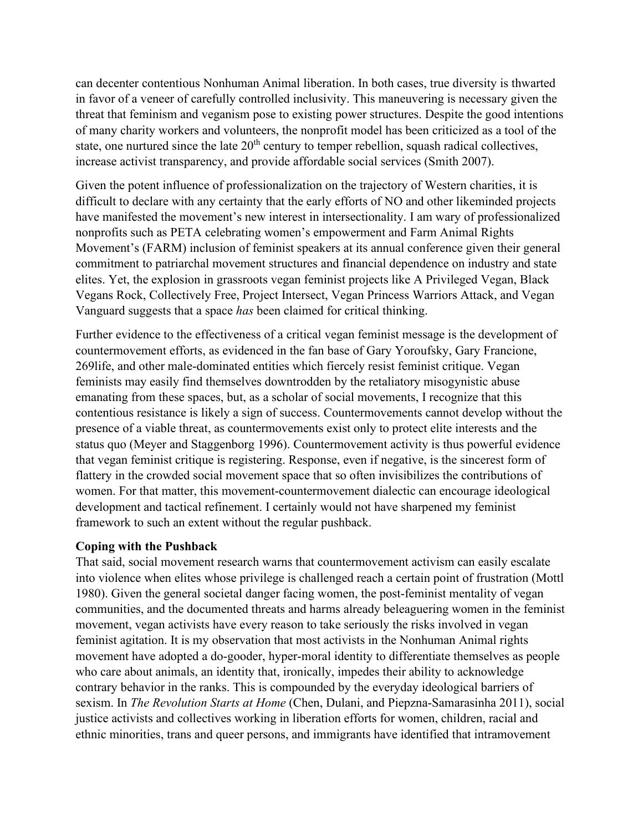can decenter contentious Nonhuman Animal liberation. In both cases, true diversity is thwarted in favor of a veneer of carefully controlled inclusivity. This maneuvering is necessary given the threat that feminism and veganism pose to existing power structures. Despite the good intentions of many charity workers and volunteers, the nonprofit model has been criticized as a tool of the state, one nurtured since the late  $20<sup>th</sup>$  century to temper rebellion, squash radical collectives, increase activist transparency, and provide affordable social services (Smith 2007).

Given the potent influence of professionalization on the trajectory of Western charities, it is difficult to declare with any certainty that the early efforts of NO and other likeminded projects have manifested the movement's new interest in intersectionality. I am wary of professionalized nonprofits such as PETA celebrating women's empowerment and Farm Animal Rights Movement's (FARM) inclusion of feminist speakers at its annual conference given their general commitment to patriarchal movement structures and financial dependence on industry and state elites. Yet, the explosion in grassroots vegan feminist projects like A Privileged Vegan, Black Vegans Rock, Collectively Free, Project Intersect, Vegan Princess Warriors Attack, and Vegan Vanguard suggests that a space *has* been claimed for critical thinking.

Further evidence to the effectiveness of a critical vegan feminist message is the development of countermovement efforts, as evidenced in the fan base of Gary Yoroufsky, Gary Francione, 269life, and other male-dominated entities which fiercely resist feminist critique. Vegan feminists may easily find themselves downtrodden by the retaliatory misogynistic abuse emanating from these spaces, but, as a scholar of social movements, I recognize that this contentious resistance is likely a sign of success. Countermovements cannot develop without the presence of a viable threat, as countermovements exist only to protect elite interests and the status quo (Meyer and Staggenborg 1996). Countermovement activity is thus powerful evidence that vegan feminist critique is registering. Response, even if negative, is the sincerest form of flattery in the crowded social movement space that so often invisibilizes the contributions of women. For that matter, this movement-countermovement dialectic can encourage ideological development and tactical refinement. I certainly would not have sharpened my feminist framework to such an extent without the regular pushback.

#### **Coping with the Pushback**

That said, social movement research warns that countermovement activism can easily escalate into violence when elites whose privilege is challenged reach a certain point of frustration (Mottl 1980). Given the general societal danger facing women, the post-feminist mentality of vegan communities, and the documented threats and harms already beleaguering women in the feminist movement, vegan activists have every reason to take seriously the risks involved in vegan feminist agitation. It is my observation that most activists in the Nonhuman Animal rights movement have adopted a do-gooder, hyper-moral identity to differentiate themselves as people who care about animals, an identity that, ironically, impedes their ability to acknowledge contrary behavior in the ranks. This is compounded by the everyday ideological barriers of sexism. In *The Revolution Starts at Home* (Chen, Dulani, and Piepzna-Samarasinha 2011), social justice activists and collectives working in liberation efforts for women, children, racial and ethnic minorities, trans and queer persons, and immigrants have identified that intramovement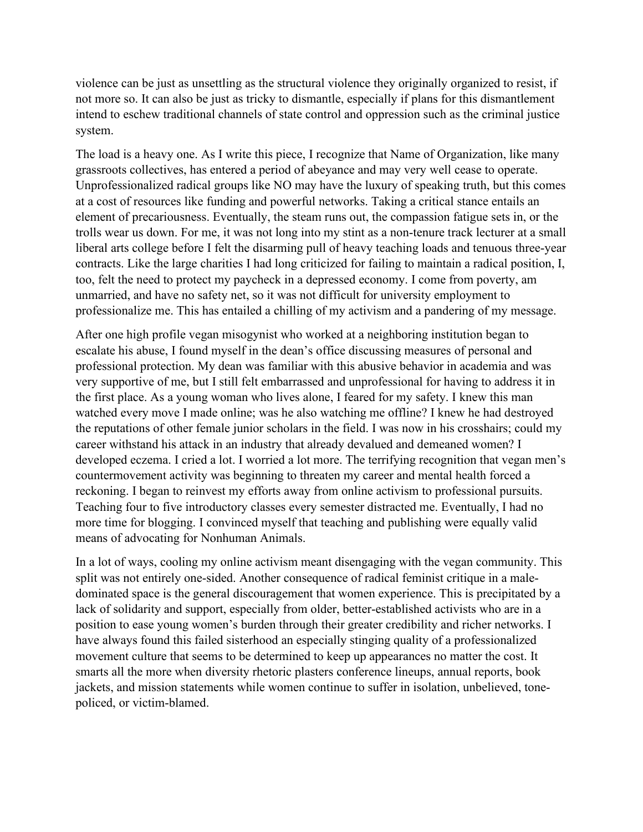violence can be just as unsettling as the structural violence they originally organized to resist, if not more so. It can also be just as tricky to dismantle, especially if plans for this dismantlement intend to eschew traditional channels of state control and oppression such as the criminal justice system.

The load is a heavy one. As I write this piece, I recognize that Name of Organization, like many grassroots collectives, has entered a period of abeyance and may very well cease to operate. Unprofessionalized radical groups like NO may have the luxury of speaking truth, but this comes at a cost of resources like funding and powerful networks. Taking a critical stance entails an element of precariousness. Eventually, the steam runs out, the compassion fatigue sets in, or the trolls wear us down. For me, it was not long into my stint as a non-tenure track lecturer at a small liberal arts college before I felt the disarming pull of heavy teaching loads and tenuous three-year contracts. Like the large charities I had long criticized for failing to maintain a radical position, I, too, felt the need to protect my paycheck in a depressed economy. I come from poverty, am unmarried, and have no safety net, so it was not difficult for university employment to professionalize me. This has entailed a chilling of my activism and a pandering of my message.

After one high profile vegan misogynist who worked at a neighboring institution began to escalate his abuse, I found myself in the dean's office discussing measures of personal and professional protection. My dean was familiar with this abusive behavior in academia and was very supportive of me, but I still felt embarrassed and unprofessional for having to address it in the first place. As a young woman who lives alone, I feared for my safety. I knew this man watched every move I made online; was he also watching me offline? I knew he had destroyed the reputations of other female junior scholars in the field. I was now in his crosshairs; could my career withstand his attack in an industry that already devalued and demeaned women? I developed eczema. I cried a lot. I worried a lot more. The terrifying recognition that vegan men's countermovement activity was beginning to threaten my career and mental health forced a reckoning. I began to reinvest my efforts away from online activism to professional pursuits. Teaching four to five introductory classes every semester distracted me. Eventually, I had no more time for blogging. I convinced myself that teaching and publishing were equally valid means of advocating for Nonhuman Animals.

In a lot of ways, cooling my online activism meant disengaging with the vegan community. This split was not entirely one-sided. Another consequence of radical feminist critique in a maledominated space is the general discouragement that women experience. This is precipitated by a lack of solidarity and support, especially from older, better-established activists who are in a position to ease young women's burden through their greater credibility and richer networks. I have always found this failed sisterhood an especially stinging quality of a professionalized movement culture that seems to be determined to keep up appearances no matter the cost. It smarts all the more when diversity rhetoric plasters conference lineups, annual reports, book jackets, and mission statements while women continue to suffer in isolation, unbelieved, tonepoliced, or victim-blamed.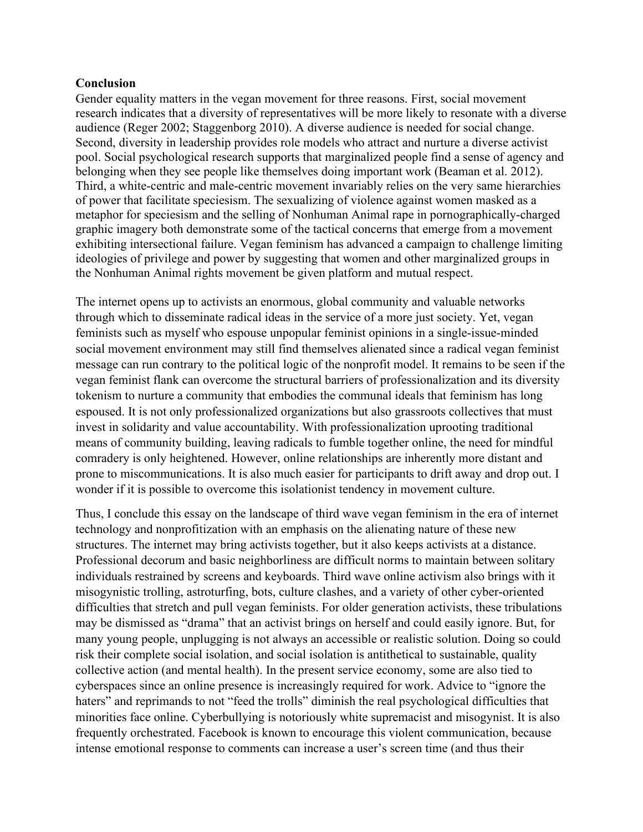#### **Conclusion**

Gender equality matters in the vegan movement for three reasons. First, social movement research indicates that a diversity of representatives will be more likely to resonate with a diverse audience (Reger 2002; Staggenborg 2010). A diverse audience is needed for social change. Second, diversity in leadership provides role models who attract and nurture a diverse activist pool. Social psychological research supports that marginalized people find a sense of agency and belonging when they see people like themselves doing important work (Beaman et al. 2012). Third, a white-centric and male-centric movement invariably relies on the very same hierarchies of power that facilitate speciesism. The sexualizing of violence against women masked as a metaphor for speciesism and the selling of Nonhuman Animal rape in pornographically-charged graphic imagery both demonstrate some of the tactical concerns that emerge from a movement exhibiting intersectional failure. Vegan feminism has advanced a campaign to challenge limiting ideologies of privilege and power by suggesting that women and other marginalized groups in the Nonhuman Animal rights movement be given platform and mutual respect.

The internet opens up to activists an enormous, global community and valuable networks through which to disseminate radical ideas in the service of a more just society. Yet, vegan feminists such as myself who espouse unpopular feminist opinions in a single-issue-minded social movement environment may still find themselves alienated since a radical vegan feminist message can run contrary to the political logic of the nonprofit model. It remains to be seen if the vegan feminist flank can overcome the structural barriers of professionalization and its diversity tokenism to nurture a community that embodies the communal ideals that feminism has long espoused. It is not only professionalized organizations but also grassroots collectives that must invest in solidarity and value accountability. With professionalization uprooting traditional means of community building, leaving radicals to fumble together online, the need for mindful comradery is only heightened. However, online relationships are inherently more distant and prone to miscommunications. It is also much easier for participants to drift away and drop out. I wonder if it is possible to overcome this isolationist tendency in movement culture.

Thus, I conclude this essay on the landscape of third wave vegan feminism in the era of internet technology and nonprofitization with an emphasis on the alienating nature of these new structures. The internet may bring activists together, but it also keeps activists at a distance. Professional decorum and basic neighborliness are difficult norms to maintain between solitary individuals restrained by screens and keyboards. Third wave online activism also brings with it misogynistic trolling, astroturfing, bots, culture clashes, and a variety of other cyber-oriented difficulties that stretch and pull vegan feminists. For older generation activists, these tribulations may be dismissed as "drama" that an activist brings on herself and could easily ignore. But, for many young people, unplugging is not always an accessible or realistic solution. Doing so could risk their complete social isolation, and social isolation is antithetical to sustainable, quality collective action (and mental health). In the present service economy, some are also tied to cyberspaces since an online presence is increasingly required for work. Advice to "ignore the haters" and reprimands to not "feed the trolls" diminish the real psychological difficulties that minorities face online. Cyberbullying is notoriously white supremacist and misogynist. It is also frequently orchestrated. Facebook is known to encourage this violent communication, because intense emotional response to comments can increase a user's screen time (and thus their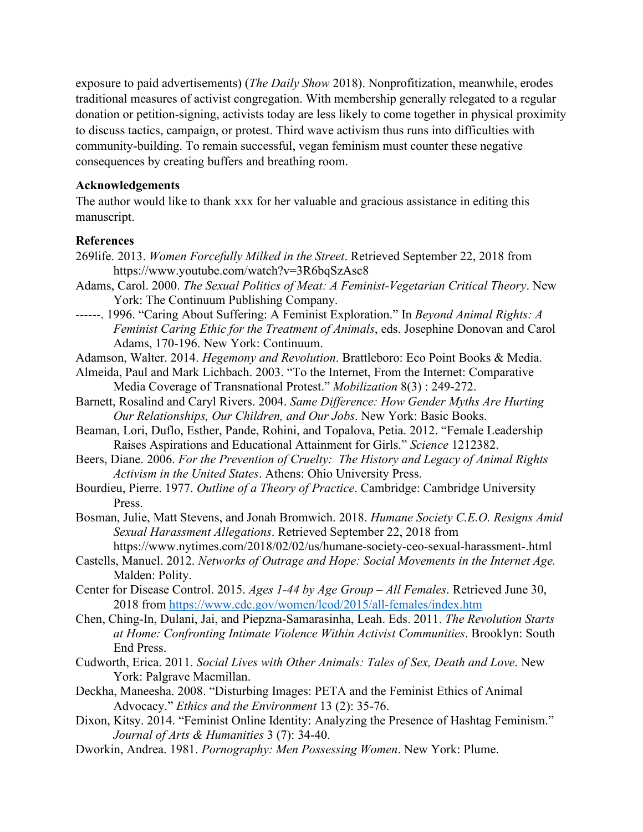exposure to paid advertisements) (*The Daily Show* 2018). Nonprofitization, meanwhile, erodes traditional measures of activist congregation. With membership generally relegated to a regular donation or petition-signing, activists today are less likely to come together in physical proximity to discuss tactics, campaign, or protest. Third wave activism thus runs into difficulties with community-building. To remain successful, vegan feminism must counter these negative consequences by creating buffers and breathing room.

#### **Acknowledgements**

The author would like to thank xxx for her valuable and gracious assistance in editing this manuscript.

#### **References**

- 269life. 2013. *Women Forcefully Milked in the Street*. Retrieved September 22, 2018 from https://www.youtube.com/watch?v=3R6bqSzAsc8
- Adams, Carol. 2000. *The Sexual Politics of Meat: A Feminist-Vegetarian Critical Theory*. New York: The Continuum Publishing Company.
- ------. 1996. "Caring About Suffering: A Feminist Exploration." In *Beyond Animal Rights: A Feminist Caring Ethic for the Treatment of Animals*, eds. Josephine Donovan and Carol Adams, 170-196. New York: Continuum.
- Adamson, Walter. 2014. *Hegemony and Revolution*. Brattleboro: Eco Point Books & Media.
- Almeida, Paul and Mark Lichbach. 2003. "To the Internet, From the Internet: Comparative Media Coverage of Transnational Protest." *Mobilization* 8(3) : 249-272.
- Barnett, Rosalind and Caryl Rivers. 2004. *Same Difference: How Gender Myths Are Hurting Our Relationships, Our Children, and Our Jobs*. New York: Basic Books.
- Beaman, Lori, Duflo, Esther, Pande, Rohini, and Topalova, Petia. 2012. "Female Leadership Raises Aspirations and Educational Attainment for Girls." *Science* 1212382.
- Beers, Diane. 2006. *For the Prevention of Cruelty: The History and Legacy of Animal Rights Activism in the United States*. Athens: Ohio University Press.
- Bourdieu, Pierre. 1977. *Outline of a Theory of Practice*. Cambridge: Cambridge University Press.
- Bosman, Julie, Matt Stevens, and Jonah Bromwich. 2018. *Humane Society C.E.O. Resigns Amid Sexual Harassment Allegations*. Retrieved September 22, 2018 from

https://www.nytimes.com/2018/02/02/us/humane-society-ceo-sexual-harassment-.html

- Castells, Manuel. 2012. *Networks of Outrage and Hope: Social Movements in the Internet Age.* Malden: Polity.
- Center for Disease Control. 2015. *Ages 1-44 by Age Group – All Females*. Retrieved June 30, 2018 from<https://www.cdc.gov/women/lcod/2015/all-females/index.htm>
- Chen, Ching-In, Dulani, Jai, and Piepzna-Samarasinha, Leah. Eds. 2011. *The Revolution Starts at Home: Confronting Intimate Violence Within Activist Communities*. Brooklyn: South End Press.
- Cudworth, Erica. 2011. *Social Lives with Other Animals: Tales of Sex, Death and Love*. New York: Palgrave Macmillan.
- Deckha, Maneesha. 2008. "Disturbing Images: PETA and the Feminist Ethics of Animal Advocacy." *Ethics and the Environment* 13 (2): 35-76.
- Dixon, Kitsy. 2014. "Feminist Online Identity: Analyzing the Presence of Hashtag Feminism." *Journal of Arts & Humanities* 3 (7): 34-40.
- Dworkin, Andrea. 1981. *Pornography: Men Possessing Women*. New York: Plume.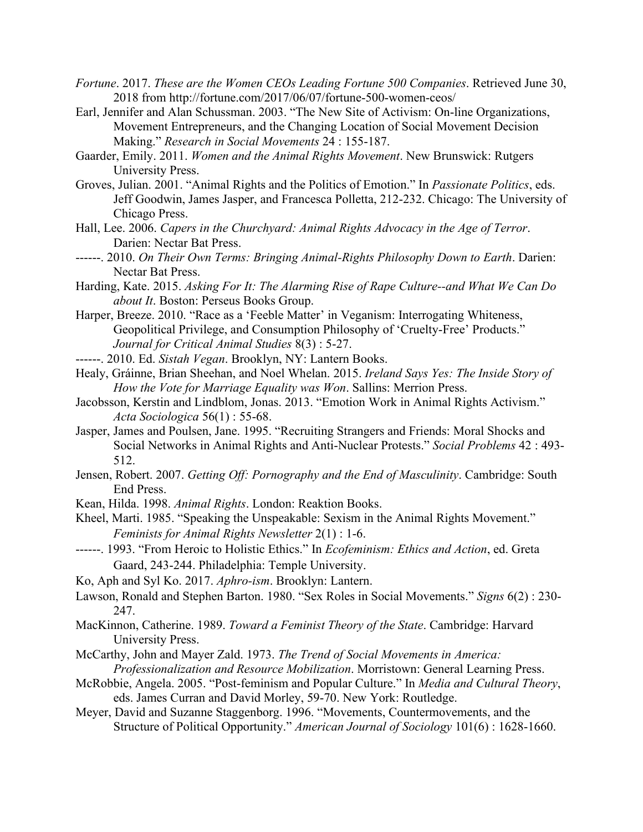- *Fortune*. 2017. *These are the Women CEOs Leading Fortune 500 Companies*. Retrieved June 30, 2018 from http://fortune.com/2017/06/07/fortune-500-women-ceos/
- Earl, Jennifer and Alan Schussman. 2003. "The New Site of Activism: On-line Organizations, Movement Entrepreneurs, and the Changing Location of Social Movement Decision Making." *Research in Social Movements* 24 : 155-187.
- Gaarder, Emily. 2011. *Women and the Animal Rights Movement*. New Brunswick: Rutgers University Press.
- Groves, Julian. 2001. "Animal Rights and the Politics of Emotion." In *Passionate Politics*, eds. Jeff Goodwin, James Jasper, and Francesca Polletta, 212-232. Chicago: The University of Chicago Press.
- Hall, Lee. 2006. *Capers in the Churchyard: Animal Rights Advocacy in the Age of Terror*. Darien: Nectar Bat Press.
- ------. 2010. *On Their Own Terms: Bringing Animal-Rights Philosophy Down to Earth*. Darien: Nectar Bat Press.
- Harding, Kate. 2015. *Asking For It: The Alarming Rise of Rape Culture--and What We Can Do about It*. Boston: Perseus Books Group.
- Harper, Breeze. 2010. "Race as a 'Feeble Matter' in Veganism: Interrogating Whiteness, Geopolitical Privilege, and Consumption Philosophy of 'Cruelty-Free' Products." *Journal for Critical Animal Studies* 8(3) : 5-27.
- ------. 2010. Ed. *Sistah Vegan*. Brooklyn, NY: Lantern Books.
- Healy, Gráinne, Brian Sheehan, and Noel Whelan. 2015. *Ireland Says Yes: The Inside Story of How the Vote for Marriage Equality was Won*. Sallins: Merrion Press.
- Jacobsson, Kerstin and Lindblom, Jonas. 2013. "Emotion Work in Animal Rights Activism." *Acta Sociologica* 56(1) : 55-68.
- Jasper, James and Poulsen, Jane. 1995. "Recruiting Strangers and Friends: Moral Shocks and Social Networks in Animal Rights and Anti-Nuclear Protests." *Social Problems* 42 : 493- 512.
- Jensen, Robert. 2007. *Getting Off: Pornography and the End of Masculinity*. Cambridge: South End Press.
- Kean, Hilda. 1998. *Animal Rights*. London: Reaktion Books.
- Kheel, Marti. 1985. "Speaking the Unspeakable: Sexism in the Animal Rights Movement." *Feminists for Animal Rights Newsletter* 2(1) : 1-6.
- ------. 1993. "From Heroic to Holistic Ethics." In *Ecofeminism: Ethics and Action*, ed. Greta Gaard, 243-244. Philadelphia: Temple University.
- Ko, Aph and Syl Ko. 2017. *Aphro-ism*. Brooklyn: Lantern.
- Lawson, Ronald and Stephen Barton. 1980. "Sex Roles in Social Movements." *Signs* 6(2) : 230- 247.
- MacKinnon, Catherine. 1989. *Toward a Feminist Theory of the State*. Cambridge: Harvard University Press.
- McCarthy, John and Mayer Zald. 1973. *The Trend of Social Movements in America: Professionalization and Resource Mobilization*. Morristown: General Learning Press.
- McRobbie, Angela. 2005. "Post-feminism and Popular Culture." In *Media and Cultural Theory*, eds. James Curran and David Morley, 59-70. New York: Routledge.
- Meyer, David and Suzanne Staggenborg. 1996. "Movements, Countermovements, and the Structure of Political Opportunity." *American Journal of Sociology* 101(6) : 1628-1660.